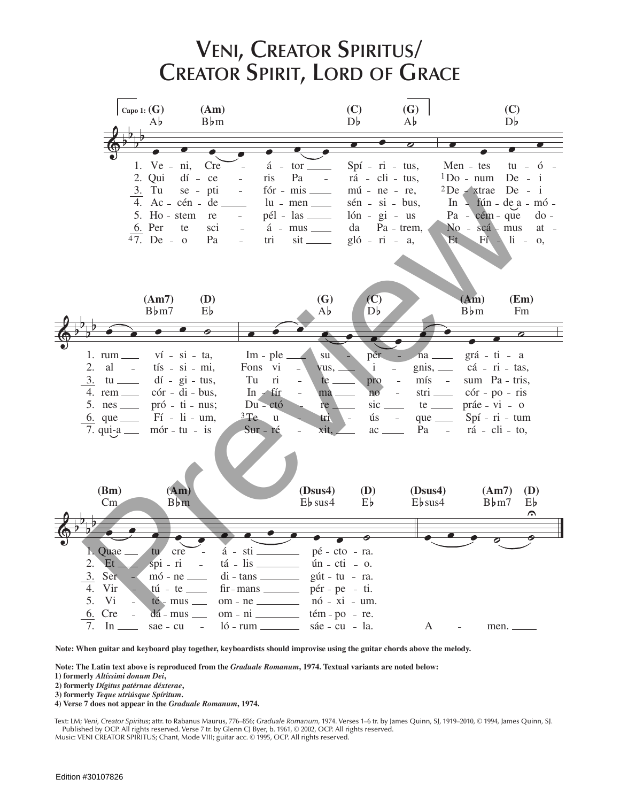

Note: When guitar and keyboard play together, keyboardists should improvise using the guitar chords above the melody.

Note: The Latin text above is reproduced from the Graduale Romanum, 1974. Textual variants are noted below:

1) formerly Altíssimi donum Dei,

2) formerly Dígitus patérnae déxterae,

3) formerly Teque utriúsque Spíritum.

4) Verse 7 does not appear in the Graduale Romanum, 1974.

Text: LM; Veni, Creator Spiritus; attr. to Rabanus Maurus, 776-856; Graduale Romanum, 1974. Verses 1-6 tr. by James Quinn, SJ, 1919-2010, © 1994, James Quinn, SJ. Published by OCP. All rights reserved. Verse 7 tr. by Glenn CJ Byer, b. 1961, © 2002, OCP. All rights reserved. Music: VENI CREATOR SPIRITUS; Chant, Mode VIII; guitar acc. © 1995, OCP. All rights reserved.